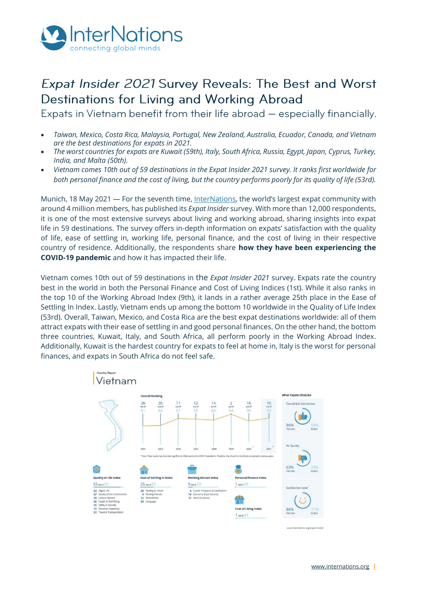

# Expat Insider 2021 Survey Reveals: The Best and Worst Destinations for Living and Working Abroad

Expats in Vietnam benefit from their life abroad – especially financially.

- *Taiwan, Mexico, Costa Rica, Malaysia, Portugal, New Zealand, Australia, Ecuador, Canada, and Vietnam are the best destinations for expats in 2021.*
- *The worst countries for expats are Kuwait (59th), Italy, South Africa, Russia, Egypt, Japan, Cyprus, Turkey, India, and Malta (50th).*
- *Vietnam comes 10th out of 59 destinations in the Expat Insider 2021 survey. It ranks first worldwide for both personal finance and the cost of living, but the country performs poorly for its quality of life (53rd).*

Munich, 18 May 2021 - For the seventh time[, InterNations](http://www.internations.org/), the world's largest expat community with around 4 million members, has published its *Expat Insider* survey. With more than 12,000 respondents, it is one of the most extensive surveys about living and working abroad, sharing insights into expat life in 59 destinations. The survey offers in-depth information on expats' satisfaction with the quality of life, ease of settling in, working life, personal finance, and the cost of living in their respective country of residence. Additionally, the respondents share **how they have been experiencing the COVID-19 pandemic** and how it has impacted their life.

Vietnam comes 10th out of 59 destinations in the *Expat Insider 2021* survey. Expats rate the country best in the world in both the Personal Finance and Cost of Living Indices (1st). While it also ranks in the top 10 of the Working Abroad Index (9th), it lands in a rather average 25th place in the Ease of Settling In Index. Lastly, Vietnam ends up among the bottom 10 worldwide in the Quality of Life Index (53rd). Overall, Taiwan, Mexico, and Costa Rica are the best expat destinations worldwide: all of them attract expats with their ease of settling in and good personal finances. On the other hand, the bottom three countries, Kuwait, Italy, and South Africa, all perform poorly in the Working Abroad Index. Additionally, Kuwait is the hardest country for expats to feel at home in, Italy is the worst for personal finances, and expats in South Africa do not feel safe.



[www.internations.org](http://www.internations.org/) **|**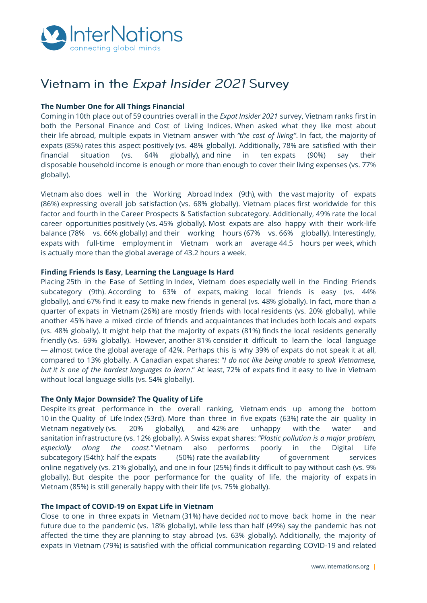

# Vietnam in the Expat Insider 2021 Survey

## **The Number One for All Things Financial**

Coming in 10th place out of 59 countries overall in the *Expat Insider 2021* survey, Vietnam ranks first in both the Personal Finance and Cost of Living Indices. When asked what they like most about their life abroad, multiple expats in Vietnam answer with *"the cost of living"*. In fact, the majority of expats (85%) rates this aspect positively (vs. 48% globally). Additionally, 78% are satisfied with their financial situation (vs. 64% globally), and nine in ten expats (90%) say their disposable household income is enough or more than enough to cover their living expenses (vs. 77% globally).

Vietnam also does well in the Working Abroad Index (9th), with the vast majority of expats (86%) expressing overall job satisfaction (vs. 68% globally). Vietnam places first worldwide for this factor and fourth in the Career Prospects & Satisfaction subcategory. Additionally, 49% rate the local career opportunities positively (vs. 45% globally). Most expats are also happy with their work-life balance (78% vs. 66% globally) and their working hours (67% vs. 66% globally). Interestingly, expats with full-time employment in Vietnam work an average 44.5 hours per week, which is actually more than the global average of 43.2 hours a week.

### **Finding Friends Is Easy, Learning the Language Is Hard**

Placing 25th in the Ease of Settling In Index, Vietnam does especially well in the Finding Friends subcategory (9th). According to 63% of expats, making local friends is easy (vs. 44% globally), and 67% find it easy to make new friends in general (vs. 48% globally). In fact, more than a quarter of expats in Vietnam (26%) are mostly friends with local residents (vs. 20% globally), while another 45% have a mixed circle of friends and acquaintances that includes both locals and expats (vs. 48% globally). It might help that the majority of expats (81%) finds the local residents generally friendly (vs. 69% globally). However, another 81% consider it difficult to learn the local language — almost twice the global average of 42%. Perhaps this is why 39% of expats do not speak it at all, compared to 13% globally. A Canadian expat shares: "*I do not like being unable to speak Vietnamese, but it is one of the hardest languages to learn*." At least, 72% of expats find it easy to live in Vietnam without local language skills (vs. 54% globally).

### **The Only Major Downside? The Quality of Life**

Despite its great performance in the overall ranking, Vietnam ends up among the bottom 10 in the Quality of Life Index (53rd). More than three in five expats (63%) rate the air quality in Vietnam negatively (vs. 20% globally), and 42% are unhappy with the water and sanitation infrastructure (vs. 12% globally). A Swiss expat shares: *"Plastic pollution is a major problem, especially along the coast."* Vietnam also performs poorly in the Digital Life subcategory (54th): half the expats (50%) rate the availability of government services online negatively (vs. 21% globally), and one in four (25%) finds it difficult to pay without cash (vs. 9% globally). But despite the poor performance for the quality of life, the majority of expats in Vietnam (85%) is still generally happy with their life (vs. 75% globally).

### **The Impact of COVID-19 on Expat Life in Vietnam**

Close to one in three expats in Vietnam (31%) have decided *not* to move back home in the near future due to the pandemic (vs. 18% globally), while less than half (49%) say the pandemic has not affected the time they are planning to stay abroad (vs. 63% globally). Additionally, the majority of expats in Vietnam (79%) is satisfied with the official communication regarding COVID-19 and related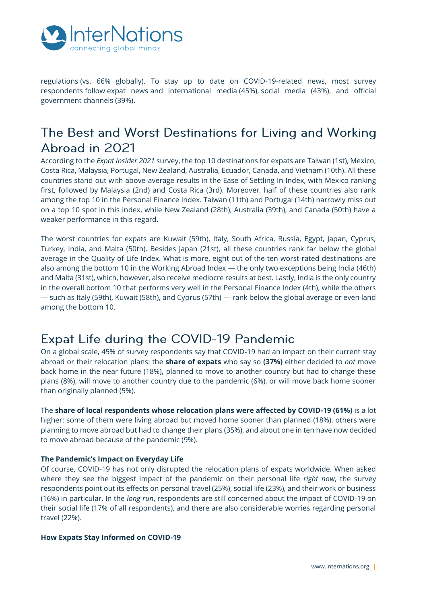

regulations (vs. 66% globally). To stay up to date on COVID-19-related news, most survey respondents follow expat news and international media (45%), social media (43%), and official government channels (39%).

# The Best and Worst Destinations for Living and Working Abroad in 2021

According to the *Expat Insider 2021* survey, the top 10 destinations for expats are Taiwan (1st), Mexico, Costa Rica, Malaysia, Portugal, New Zealand, Australia, Ecuador, Canada, and Vietnam (10th). All these countries stand out with above-average results in the Ease of Settling In Index, with Mexico ranking first, followed by Malaysia (2nd) and Costa Rica (3rd). Moreover, half of these countries also rank among the top 10 in the Personal Finance Index. Taiwan (11th) and Portugal (14th) narrowly miss out on a top 10 spot in this index, while New Zealand (28th), Australia (39th), and Canada (50th) have a weaker performance in this regard.

The worst countries for expats are Kuwait (59th), Italy, South Africa, Russia, Egypt, Japan, Cyprus, Turkey, India, and Malta (50th). Besides Japan (21st), all these countries rank far below the global average in the Quality of Life Index. What is more, eight out of the ten worst-rated destinations are also among the bottom 10 in the Working Abroad Index — the only two exceptions being India (46th) and Malta (31st), which, however, also receive mediocre results at best. Lastly, India is the only country in the overall bottom 10 that performs very well in the Personal Finance Index (4th), while the others — such as Italy (59th), Kuwait (58th), and Cyprus (57th) — rank below the global average or even land among the bottom 10.

## Expat Life during the COVID-19 Pandemic

On a global scale, 45% of survey respondents say that COVID-19 had an impact on their current stay abroad or their relocation plans: the **share of expats** who say so **(37%)** either decided to *not* move back home in the near future (18%), planned to move to another country but had to change these plans (8%), will move to another country due to the pandemic (6%), or will move back home sooner than originally planned (5%).

The **share of local respondents whose relocation plans were affected by COVID-19 (61%)** is a lot higher: some of them were living abroad but moved home sooner than planned (18%), others were planning to move abroad but had to change their plans (35%), and about one in ten have now decided to move abroad because of the pandemic (9%).

## **The Pandemic's Impact on Everyday Life**

Of course, COVID-19 has not only disrupted the relocation plans of expats worldwide. When asked where they see the biggest impact of the pandemic on their personal life *right now*, the survey respondents point out its effects on personal travel (25%), social life (23%), and their work or business (16%) in particular. In the *long run*, respondents are still concerned about the impact of COVID-19 on their social life (17% of all respondents), and there are also considerable worries regarding personal travel (22%).

### **How Expats Stay Informed on COVID-19**